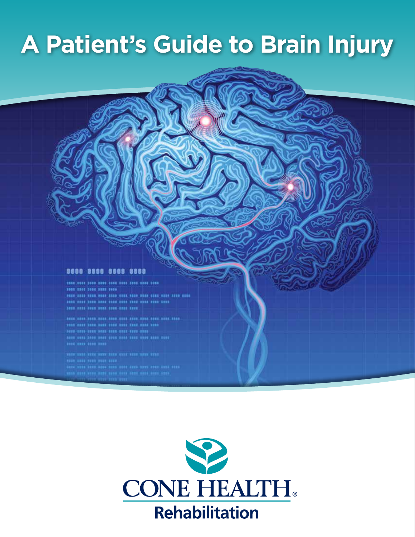# **A Patient's Guide to Brain Injury**

#### 0888 8888 8888 8888

2022 2022 2023 2029 2020 2021 2022 2022 2022 HAVE HAVE SHEET HOTEL FAXA POLE FIRE SERVICES AND THE STATE STATE STATE TIME. 1011 1115 1111 1112 1111 1111 1111

BEES TERY HOSE BEES BREE SEEK AND AND SPEE BEES ABOV. von un aur sur un un un vor sin 1988-1989 USEC 2018-1988-1988-1989-1988

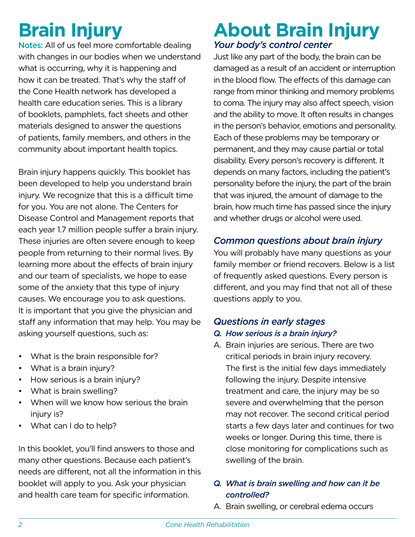# **Brain Injury**

Notes: All of us feel more comfortable dealing with changes in our bodies when we understand what is occurring, why it is happening and how it can be treated. That's why the staff of the Cone Health network has developed a health care education series. This is a library of booklets, pamphlets, fact sheets and other materials designed to answer the questions of patients, family members, and others in the community about important health topics.

Brain injury happens quickly. This booklet has been developed to help you understand brain injury. We recognize that this is a difficult time for you. You are not alone. The Centers for Disease Control and Management reports that each year 1.7 million people suffer a brain injury. These injuries are often severe enough to keep people from returning to their normal lives. By learning more about the effects of brain injury and our team of specialists, we hope to ease some of the anxiety that this type of injury causes. We encourage you to ask questions. It is important that you give the physician and staff any information that may help. You may be asking yourself questions, such as:

- What is the brain responsible for?
- What is a brain injury?
- How serious is a brain injury?
- What is brain swelling?
- When will we know how serious the brain injury is?
- What can I do to help?

In this booklet, you'll find answers to those and many other questions. Because each patient's needs are different, not all the information in this booklet will apply to you. Ask your physician and health care team for specific information.

## **About Brain Injury** *Your body's control center*

Just like any part of the body, the brain can be damaged as a result of an accident or interruption in the blood flow. The effects of this damage can range from minor thinking and memory problems to coma. The injury may also affect speech, vision and the ability to move. It often results in changes in the person's behavior, emotions and personality. Each of these problems may be temporary or permanent, and they may cause partial or total disability. Every person's recovery is different. It depends on many factors, including the patient's personality before the injury, the part of the brain that was injured, the amount of damage to the brain, how much time has passed since the injury and whether drugs or alcohol were used.

### *Common questions about brain injury*

You will probably have many questions as your family member or friend recovers. Below is a list of frequently asked questions. Every person is different, and you may find that not all of these questions apply to you.

### *Questions in early stages*

- *Q. How serious is a brain injury?*
- A. Brain injuries are serious. There are two critical periods in brain injury recovery. The first is the initial few days immediately following the injury. Despite intensive treatment and care, the injury may be so severe and overwhelming that the person may not recover. The second critical period starts a few days later and continues for two weeks or longer. During this time, there is close monitoring for complications such as swelling of the brain.

#### *Q. What is brain swelling and how can it be controlled?*

A. Brain swelling, or cerebral edema occurs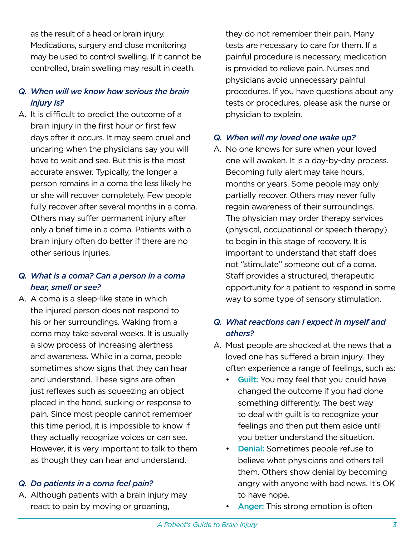as the result of a head or brain injury. Medications, surgery and close monitoring may be used to control swelling. If it cannot be controlled, brain swelling may result in death.

#### *Q. When will we know how serious the brain injury is?*

A. It is difficult to predict the outcome of a brain injury in the first hour or first few days after it occurs. It may seem cruel and uncaring when the physicians say you will have to wait and see. But this is the most accurate answer. Typically, the longer a person remains in a coma the less likely he or she will recover completely. Few people fully recover after several months in a coma. Others may suffer permanent injury after only a brief time in a coma. Patients with a brain injury often do better if there are no other serious injuries.

#### *Q. What is a coma? Can a person in a coma hear, smell or see?*

A. A coma is a sleep-like state in which the injured person does not respond to his or her surroundings. Waking from a coma may take several weeks. It is usually a slow process of increasing alertness and awareness. While in a coma, people sometimes show signs that they can hear and understand. These signs are often just reflexes such as squeezing an object placed in the hand, sucking or response to pain. Since most people cannot remember this time period, it is impossible to know if they actually recognize voices or can see. However, it is very important to talk to them as though they can hear and understand.

#### *Q. Do patients in a coma feel pain?*

A. Although patients with a brain injury may react to pain by moving or groaning,

they do not remember their pain. Many tests are necessary to care for them. If a painful procedure is necessary, medication is provided to relieve pain. Nurses and physicians avoid unnecessary painful procedures. If you have questions about any tests or procedures, please ask the nurse or physician to explain.

#### *Q. When will my loved one wake up?*

A. No one knows for sure when your loved one will awaken. It is a day-by-day process. Becoming fully alert may take hours, months or years. Some people may only partially recover. Others may never fully regain awareness of their surroundings. The physician may order therapy services (physical, occupational or speech therapy) to begin in this stage of recovery. It is important to understand that staff does not "stimulate" someone out of a coma. Staff provides a structured, therapeutic opportunity for a patient to respond in some way to some type of sensory stimulation.

#### *Q. What reactions can I expect in myself and others?*

- A. Most people are shocked at the news that a loved one has suffered a brain injury. They often experience a range of feelings, such as:
	- Guilt: You may feel that you could have changed the outcome if you had done something differently. The best way to deal with guilt is to recognize your feelings and then put them aside until you better understand the situation.
	- Denial: Sometimes people refuse to believe what physicians and others tell them. Others show denial by becoming angry with anyone with bad news. It's OK to have hope.
	- Anger: This strong emotion is often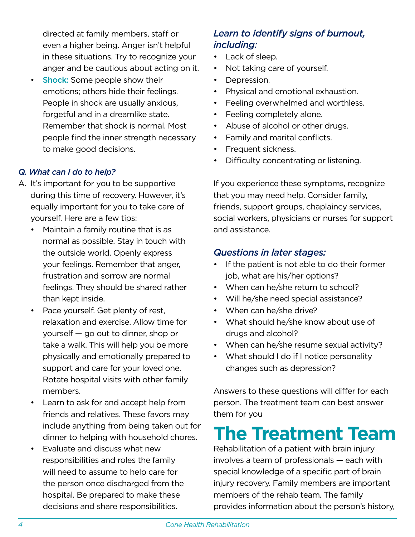directed at family members, staff or even a higher being. Anger isn't helpful in these situations. Try to recognize your anger and be cautious about acting on it.

Shock: Some people show their emotions; others hide their feelings. People in shock are usually anxious, forgetful and in a dreamlike state. Remember that shock is normal. Most people find the inner strength necessary to make good decisions.

#### *Q. What can I do to help?*

- A. It's important for you to be supportive during this time of recovery. However, it's equally important for you to take care of yourself. Here are a few tips:
	- Maintain a family routine that is as normal as possible. Stay in touch with the outside world. Openly express your feelings. Remember that anger, frustration and sorrow are normal feelings. They should be shared rather than kept inside.
	- Pace yourself. Get plenty of rest, relaxation and exercise. Allow time for yourself — go out to dinner, shop or take a walk. This will help you be more physically and emotionally prepared to support and care for your loved one. Rotate hospital visits with other family members.
	- Learn to ask for and accept help from friends and relatives. These favors may include anything from being taken out for dinner to helping with household chores.
	- Evaluate and discuss what new responsibilities and roles the family will need to assume to help care for the person once discharged from the hospital. Be prepared to make these decisions and share responsibilities.

### *Learn to identify signs of burnout, including:*

- Lack of sleep.
- Not taking care of yourself.
- Depression.
- Physical and emotional exhaustion.
- Feeling overwhelmed and worthless.
- Feeling completely alone.
- Abuse of alcohol or other drugs.
- Family and marital conflicts.
- Frequent sickness.
- Difficulty concentrating or listening.

If you experience these symptoms, recognize that you may need help. Consider family, friends, support groups, chaplaincy services, social workers, physicians or nurses for support and assistance.

### *Questions in later stages:*

- If the patient is not able to do their former job, what are his/her options?
- When can he/she return to school?
- Will he/she need special assistance?
- When can he/she drive?
- What should he/she know about use of drugs and alcohol?
- When can he/she resume sexual activity?
- What should I do if I notice personality changes such as depression?

Answers to these questions will differ for each person. The treatment team can best answer them for you

# **The Treatment Team**

Rehabilitation of a patient with brain injury involves a team of professionals — each with special knowledge of a specific part of brain injury recovery. Family members are important members of the rehab team. The family provides information about the person's history,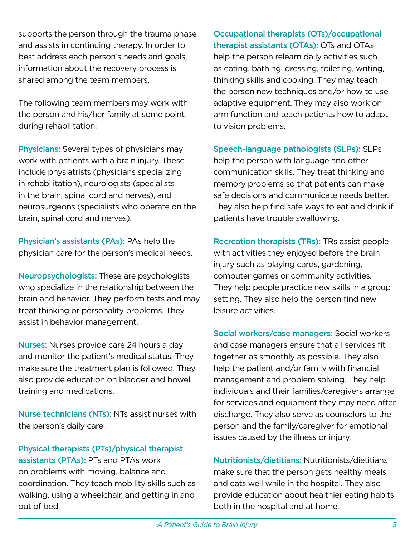supports the person through the trauma phase and assists in continuing therapy. In order to best address each person's needs and goals, information about the recovery process is shared among the team members.

The following team members may work with the person and his/her family at some point during rehabilitation:

Physicians: Several types of physicians may work with patients with a brain injury. These include physiatrists (physicians specializing in rehabilitation), neurologists (specialists in the brain, spinal cord and nerves), and neurosurgeons (specialists who operate on the brain, spinal cord and nerves).

Physician's assistants (PAs): PAs help the physician care for the person's medical needs.

Neuropsychologists: These are psychologists who specialize in the relationship between the brain and behavior. They perform tests and may treat thinking or personality problems. They assist in behavior management.

Nurses: Nurses provide care 24 hours a day and monitor the patient's medical status. They make sure the treatment plan is followed. They also provide education on bladder and bowel training and medications.

Nurse technicians (NTs): NTs assist nurses with the person's daily care.

Physical therapists (PTs)/physical therapist assistants (PTAs): PTs and PTAs work on problems with moving, balance and coordination. They teach mobility skills such as walking, using a wheelchair, and getting in and out of bed.

Occupational therapists (OTs)/occupational therapist assistants (OTAs): OTs and OTAs help the person relearn daily activities such as eating, bathing, dressing, toileting, writing, thinking skills and cooking. They may teach the person new techniques and/or how to use adaptive equipment. They may also work on arm function and teach patients how to adapt to vision problems.

Speech-language pathologists (SLPs): SLPs help the person with language and other communication skills. They treat thinking and memory problems so that patients can make safe decisions and communicate needs better. They also help find safe ways to eat and drink if patients have trouble swallowing.

Recreation therapists (TRs): TRs assist people with activities they enjoyed before the brain injury such as playing cards, gardening, computer games or community activities. They help people practice new skills in a group setting. They also help the person find new leisure activities.

Social workers/case managers: Social workers and case managers ensure that all services fit together as smoothly as possible. They also help the patient and/or family with financial management and problem solving. They help individuals and their families/caregivers arrange for services and equipment they may need after discharge. They also serve as counselors to the person and the family/caregiver for emotional issues caused by the illness or injury.

Nutritionists/dietitians: Nutritionists/dietitians make sure that the person gets healthy meals and eats well while in the hospital. They also provide education about healthier eating habits both in the hospital and at home.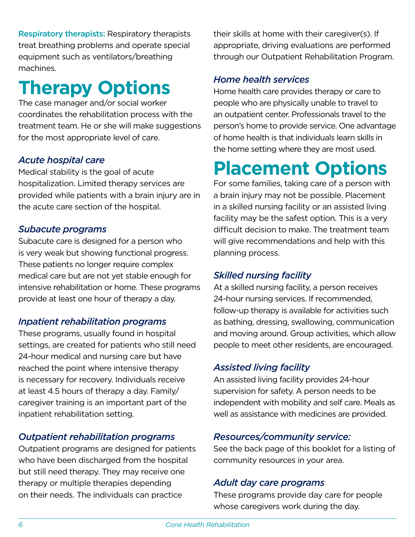Respiratory therapists: Respiratory therapists treat breathing problems and operate special equipment such as ventilators/breathing machines.

# **Therapy Options**

The case manager and/or social worker coordinates the rehabilitation process with the treatment team. He or she will make suggestions for the most appropriate level of care.

#### *Acute hospital care*

Medical stability is the goal of acute hospitalization. Limited therapy services are provided while patients with a brain injury are in the acute care section of the hospital.

#### *Subacute programs*

Subacute care is designed for a person who is very weak but showing functional progress. These patients no longer require complex medical care but are not yet stable enough for intensive rehabilitation or home. These programs provide at least one hour of therapy a day.

#### *Inpatient rehabilitation programs*

These programs, usually found in hospital settings, are created for patients who still need 24-hour medical and nursing care but have reached the point where intensive therapy is necessary for recovery. Individuals receive at least 4.5 hours of therapy a day. Family/ caregiver training is an important part of the inpatient rehabilitation setting.

#### *Outpatient rehabilitation programs*

Outpatient programs are designed for patients who have been discharged from the hospital but still need therapy. They may receive one therapy or multiple therapies depending on their needs. The individuals can practice

their skills at home with their caregiver(s). If appropriate, driving evaluations are performed through our Outpatient Rehabilitation Program.

### *Home health services*

Home health care provides therapy or care to people who are physically unable to travel to an outpatient center. Professionals travel to the person's home to provide service. One advantage of home health is that individuals learn skills in the home setting where they are most used.

# **Placement Options**

For some families, taking care of a person with a brain injury may not be possible. Placement in a skilled nursing facility or an assisted living facility may be the safest option. This is a very difficult decision to make. The treatment team will give recommendations and help with this planning process.

#### *Skilled nursing facility*

At a skilled nursing facility, a person receives 24-hour nursing services. If recommended, follow-up therapy is available for activities such as bathing, dressing, swallowing, communication and moving around. Group activities, which allow people to meet other residents, are encouraged.

#### *Assisted living facility*

An assisted living facility provides 24-hour supervision for safety. A person needs to be independent with mobility and self care. Meals as well as assistance with medicines are provided.

#### *Resources/community service:*

See the back page of this booklet for a listing of community resources in your area.

#### *Adult day care programs*

These programs provide day care for people whose caregivers work during the day.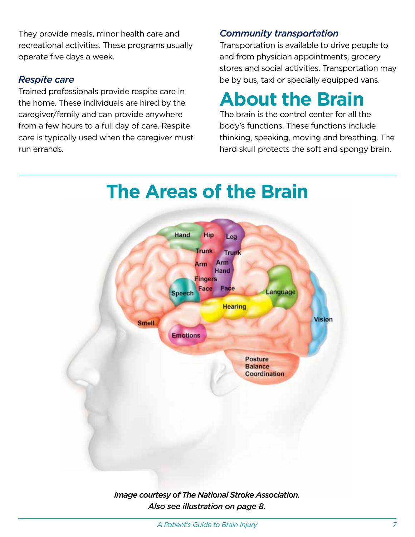They provide meals, minor health care and recreational activities. These programs usually operate five days a week.

#### *Respite care*

Trained professionals provide respite care in the home. These individuals are hired by the caregiver/family and can provide anywhere from a few hours to a full day of care. Respite care is typically used when the caregiver must run errands.

#### *Community transportation*

Transportation is available to drive people to and from physician appointments, grocery stores and social activities. Transportation may be by bus, taxi or specially equipped vans.

# **About the Brain**

The brain is the control center for all the body's functions. These functions include thinking, speaking, moving and breathing. The hard skull protects the soft and spongy brain.



*Image courtesy of The National Stroke Association. Also see illustration on page 8.*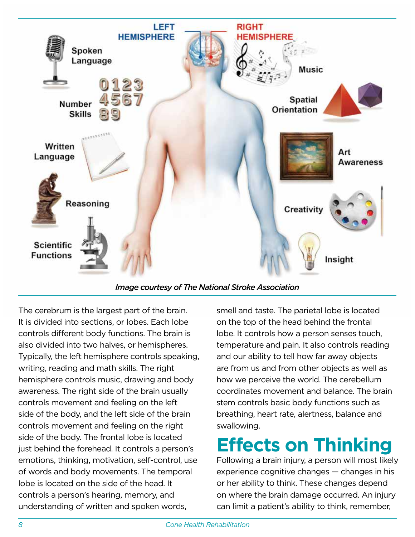

*Image courtesy of The National Stroke Association*

The cerebrum is the largest part of the brain. It is divided into sections, or lobes. Each lobe controls different body functions. The brain is also divided into two halves, or hemispheres. Typically, the left hemisphere controls speaking, writing, reading and math skills. The right hemisphere controls music, drawing and body awareness. The right side of the brain usually controls movement and feeling on the left side of the body, and the left side of the brain controls movement and feeling on the right side of the body. The frontal lobe is located just behind the forehead. It controls a person's emotions, thinking, motivation, self-control, use of words and body movements. The temporal lobe is located on the side of the head. It controls a person's hearing, memory, and understanding of written and spoken words,

smell and taste. The parietal lobe is located on the top of the head behind the frontal lobe. It controls how a person senses touch, temperature and pain. It also controls reading and our ability to tell how far away objects are from us and from other objects as well as how we perceive the world. The cerebellum coordinates movement and balance. The brain stem controls basic body functions such as breathing, heart rate, alertness, balance and swallowing.

# **Effects on Thinking**

Following a brain injury, a person will most likely experience cognitive changes — changes in his or her ability to think. These changes depend on where the brain damage occurred. An injury can limit a patient's ability to think, remember,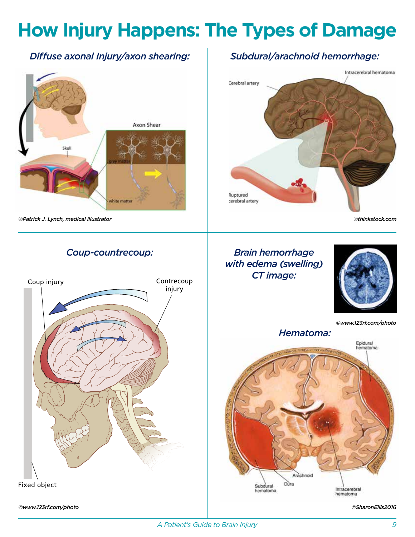# **How Injury Happens: The Types of Damage**

#### *Diffuse axonal Injury/axon shearing:*



*©Patrick J. Lynch, medical illustrator*

### *Subdural/arachnoid hemorrhage:*



*©thinkstock.com*

#### *Coup-countrecoup:*



*Brain hemorrhage with edema (swelling) CT image:*



*Hematoma: ©www.123rf.com/photo*



*©SharonEllis2016*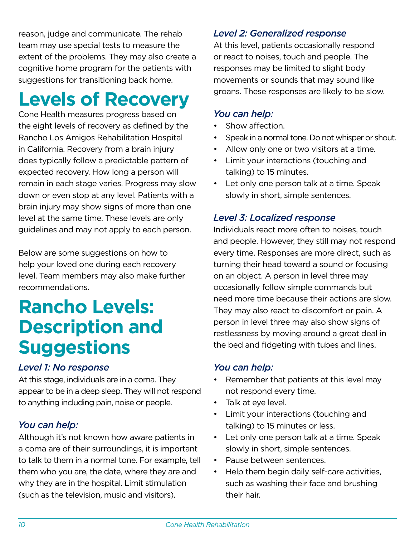reason, judge and communicate. The rehab team may use special tests to measure the extent of the problems. They may also create a cognitive home program for the patients with suggestions for transitioning back home.

# **Levels of Recovery**

Cone Health measures progress based on the eight levels of recovery as defined by the Rancho Los Amigos Rehabilitation Hospital in California. Recovery from a brain injury does typically follow a predictable pattern of expected recovery. How long a person will remain in each stage varies. Progress may slow down or even stop at any level. Patients with a brain injury may show signs of more than one level at the same time. These levels are only guidelines and may not apply to each person.

Below are some suggestions on how to help your loved one during each recovery level. Team members may also make further recommendations.

# **Rancho Levels: Description and Suggestions**

#### *Level 1: No response*

At this stage, individuals are in a coma. They appear to be in a deep sleep. They will not respond to anything including pain, noise or people.

#### *You can help:*

Although it's not known how aware patients in a coma are of their surroundings, it is important to talk to them in a normal tone. For example, tell them who you are, the date, where they are and why they are in the hospital. Limit stimulation (such as the television, music and visitors).

### *Level 2: Generalized response*

At this level, patients occasionally respond or react to noises, touch and people. The responses may be limited to slight body movements or sounds that may sound like groans. These responses are likely to be slow.

#### *You can help:*

- Show affection.
- Speak in a normal tone. Do not whisper or shout.
- Allow only one or two visitors at a time.
- Limit your interactions (touching and talking) to 15 minutes.
- Let only one person talk at a time. Speak slowly in short, simple sentences.

### *Level 3: Localized response*

Individuals react more often to noises, touch and people. However, they still may not respond every time. Responses are more direct, such as turning their head toward a sound or focusing on an object. A person in level three may occasionally follow simple commands but need more time because their actions are slow. They may also react to discomfort or pain. A person in level three may also show signs of restlessness by moving around a great deal in the bed and fidgeting with tubes and lines.

#### *You can help:*

- Remember that patients at this level may not respond every time.
- Talk at eye level.
- Limit your interactions (touching and talking) to 15 minutes or less.
- Let only one person talk at a time. Speak slowly in short, simple sentences.
- Pause between sentences.
- Help them begin daily self-care activities, such as washing their face and brushing their hair.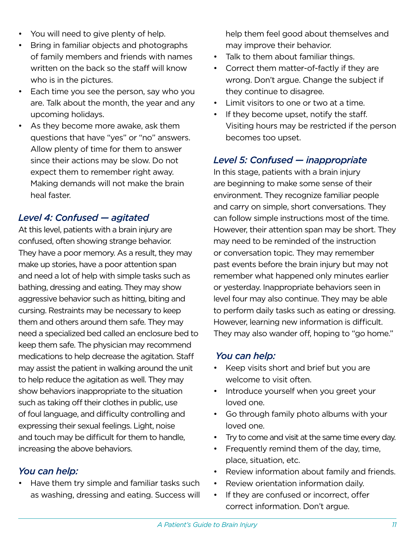- You will need to give plenty of help.
- Bring in familiar objects and photographs of family members and friends with names written on the back so the staff will know who is in the pictures.
- Each time you see the person, say who you are. Talk about the month, the year and any upcoming holidays.
- As they become more awake, ask them questions that have "yes" or "no" answers. Allow plenty of time for them to answer since their actions may be slow. Do not expect them to remember right away. Making demands will not make the brain heal faster.

#### *Level 4: Confused — agitated*

At this level, patients with a brain injury are confused, often showing strange behavior. They have a poor memory. As a result, they may make up stories, have a poor attention span and need a lot of help with simple tasks such as bathing, dressing and eating. They may show aggressive behavior such as hitting, biting and cursing. Restraints may be necessary to keep them and others around them safe. They may need a specialized bed called an enclosure bed to keep them safe. The physician may recommend medications to help decrease the agitation. Staff may assist the patient in walking around the unit to help reduce the agitation as well. They may show behaviors inappropriate to the situation such as taking off their clothes in public, use of foul language, and difficulty controlling and expressing their sexual feelings. Light, noise and touch may be difficult for them to handle, increasing the above behaviors.

#### *You can help:*

• Have them try simple and familiar tasks such as washing, dressing and eating. Success will

help them feel good about themselves and may improve their behavior.

- Talk to them about familiar things.
- Correct them matter-of-factly if they are wrong. Don't argue. Change the subject if they continue to disagree.
- Limit visitors to one or two at a time.
- If they become upset, notify the staff. Visiting hours may be restricted if the person becomes too upset.

### *Level 5: Confused — inappropriate*

In this stage, patients with a brain injury are beginning to make some sense of their environment. They recognize familiar people and carry on simple, short conversations. They can follow simple instructions most of the time. However, their attention span may be short. They may need to be reminded of the instruction or conversation topic. They may remember past events before the brain injury but may not remember what happened only minutes earlier or yesterday. Inappropriate behaviors seen in level four may also continue. They may be able to perform daily tasks such as eating or dressing. However, learning new information is difficult. They may also wander off, hoping to "go home."

### *You can help:*

- Keep visits short and brief but you are welcome to visit often.
- Introduce yourself when you greet your loved one.
- Go through family photo albums with your loved one.
- Try to come and visit at the same time every day.
- Frequently remind them of the day, time, place, situation, etc.
- Review information about family and friends.
- Review orientation information daily.
- If they are confused or incorrect, offer correct information. Don't argue.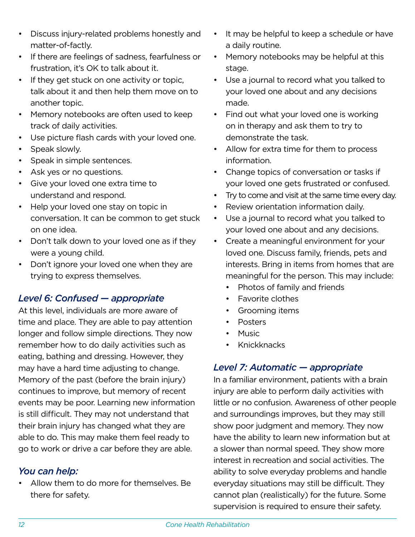- Discuss injury-related problems honestly and matter-of-factly.
- If there are feelings of sadness, fearfulness or frustration, it's OK to talk about it.
- If they get stuck on one activity or topic, talk about it and then help them move on to another topic.
- Memory notebooks are often used to keep track of daily activities.
- Use picture flash cards with your loved one.
- Speak slowly.
- Speak in simple sentences.
- Ask yes or no questions.
- Give your loved one extra time to understand and respond.
- Help your loved one stay on topic in conversation. It can be common to get stuck on one idea.
- Don't talk down to your loved one as if they were a young child.
- Don't ignore your loved one when they are trying to express themselves.

### *Level 6: Confused — appropriate*

At this level, individuals are more aware of time and place. They are able to pay attention longer and follow simple directions. They now remember how to do daily activities such as eating, bathing and dressing. However, they may have a hard time adjusting to change. Memory of the past (before the brain injury) continues to improve, but memory of recent events may be poor. Learning new information is still difficult. They may not understand that their brain injury has changed what they are able to do. This may make them feel ready to go to work or drive a car before they are able.

#### *You can help:*

• Allow them to do more for themselves. Be there for safety.

- It may be helpful to keep a schedule or have a daily routine.
- Memory notebooks may be helpful at this stage.
- Use a journal to record what you talked to your loved one about and any decisions made.
- Find out what your loved one is working on in therapy and ask them to try to demonstrate the task.
- Allow for extra time for them to process information.
- Change topics of conversation or tasks if your loved one gets frustrated or confused.
- Try to come and visit at the same time every day.
- Review orientation information daily.
- Use a journal to record what you talked to your loved one about and any decisions.
- Create a meaningful environment for your loved one. Discuss family, friends, pets and interests. Bring in items from homes that are meaningful for the person. This may include:
	- Photos of family and friends
	- Favorite clothes
	- Grooming items
	- Posters
	- Music
	- Knickknacks

#### *Level 7: Automatic — appropriate*

In a familiar environment, patients with a brain injury are able to perform daily activities with little or no confusion. Awareness of other people and surroundings improves, but they may still show poor judgment and memory. They now have the ability to learn new information but at a slower than normal speed. They show more interest in recreation and social activities. The ability to solve everyday problems and handle everyday situations may still be difficult. They cannot plan (realistically) for the future. Some supervision is required to ensure their safety.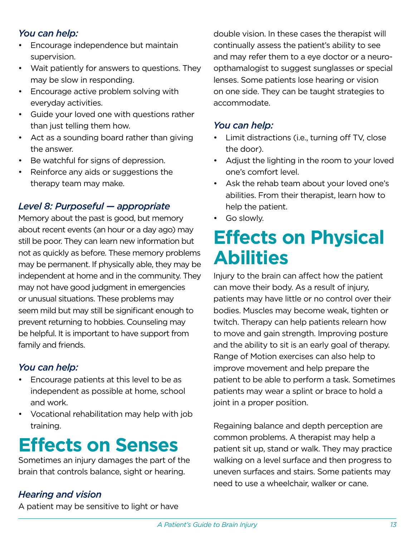#### *You can help:*

- Encourage independence but maintain supervision.
- Wait patiently for answers to questions. They may be slow in responding.
- Encourage active problem solving with everyday activities.
- Guide your loved one with questions rather than just telling them how.
- Act as a sounding board rather than giving the answer.
- Be watchful for signs of depression.
- Reinforce any aids or suggestions the therapy team may make.

#### *Level 8: Purposeful — appropriate*

Memory about the past is good, but memory about recent events (an hour or a day ago) may still be poor. They can learn new information but not as quickly as before. These memory problems may be permanent. If physically able, they may be independent at home and in the community. They may not have good judgment in emergencies or unusual situations. These problems may seem mild but may still be significant enough to prevent returning to hobbies. Counseling may be helpful. It is important to have support from family and friends.

#### *You can help:*

- Encourage patients at this level to be as independent as possible at home, school and work.
- Vocational rehabilitation may help with job training.

# **Effects on Senses**

Sometimes an injury damages the part of the brain that controls balance, sight or hearing.

double vision. In these cases the therapist will continually assess the patient's ability to see and may refer them to a eye doctor or a neuroopthamalogist to suggest sunglasses or special lenses. Some patients lose hearing or vision on one side. They can be taught strategies to accommodate.

#### *You can help:*

- Limit distractions (i.e., turning off TV, close the door).
- Adjust the lighting in the room to your loved one's comfort level.
- Ask the rehab team about your loved one's abilities. From their therapist, learn how to help the patient.
- Go slowly.

## **Effects on Physical Abilities**

Injury to the brain can affect how the patient can move their body. As a result of injury, patients may have little or no control over their bodies. Muscles may become weak, tighten or twitch. Therapy can help patients relearn how to move and gain strength. Improving posture and the ability to sit is an early goal of therapy. Range of Motion exercises can also help to improve movement and help prepare the patient to be able to perform a task. Sometimes patients may wear a splint or brace to hold a joint in a proper position.

Regaining balance and depth perception are common problems. A therapist may help a patient sit up, stand or walk. They may practice walking on a level surface and then progress to uneven surfaces and stairs. Some patients may need to use a wheelchair, walker or cane.

#### *Hearing and vision*

A patient may be sensitive to light or have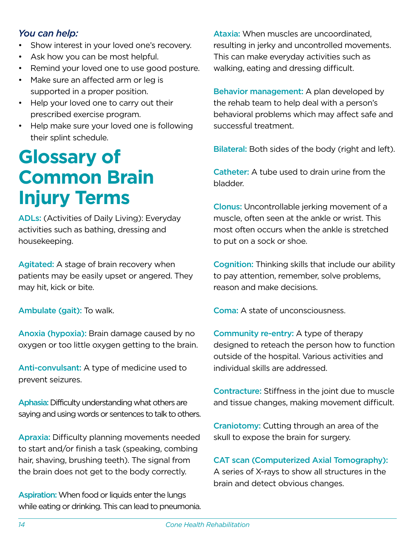#### *You can help:*

- Show interest in your loved one's recovery.
- Ask how you can be most helpful.
- Remind your loved one to use good posture.
- Make sure an affected arm or leg is supported in a proper position.
- Help your loved one to carry out their prescribed exercise program.
- Help make sure your loved one is following their splint schedule.

# **Glossary of Common Brain Injury Terms**

ADLs: (Activities of Daily Living): Everyday activities such as bathing, dressing and housekeeping.

Agitated: A stage of brain recovery when patients may be easily upset or angered. They may hit, kick or bite.

Ambulate (gait): To walk.

Anoxia (hypoxia): Brain damage caused by no oxygen or too little oxygen getting to the brain.

Anti-convulsant: A type of medicine used to prevent seizures.

Aphasia: Difficulty understanding what others are saying and using words or sentences to talk to others.

Apraxia: Difficulty planning movements needed to start and/or finish a task (speaking, combing hair, shaving, brushing teeth). The signal from the brain does not get to the body correctly.

Aspiration: When food or liquids enter the lungs while eating or drinking. This can lead to pneumonia.

Ataxia: When muscles are uncoordinated, resulting in jerky and uncontrolled movements. This can make everyday activities such as walking, eating and dressing difficult.

Behavior management: A plan developed by the rehab team to help deal with a person's behavioral problems which may affect safe and successful treatment.

Bilateral: Both sides of the body (right and left).

Catheter: A tube used to drain urine from the bladder.

Clonus: Uncontrollable jerking movement of a muscle, often seen at the ankle or wrist. This most often occurs when the ankle is stretched to put on a sock or shoe.

Cognition: Thinking skills that include our ability to pay attention, remember, solve problems, reason and make decisions.

Coma: A state of unconsciousness.

Community re-entry: A type of therapy designed to reteach the person how to function outside of the hospital. Various activities and individual skills are addressed.

Contracture: Stiffness in the joint due to muscle and tissue changes, making movement difficult.

Craniotomy: Cutting through an area of the skull to expose the brain for surgery.

CAT scan (Computerized Axial Tomography): A series of X-rays to show all structures in the brain and detect obvious changes.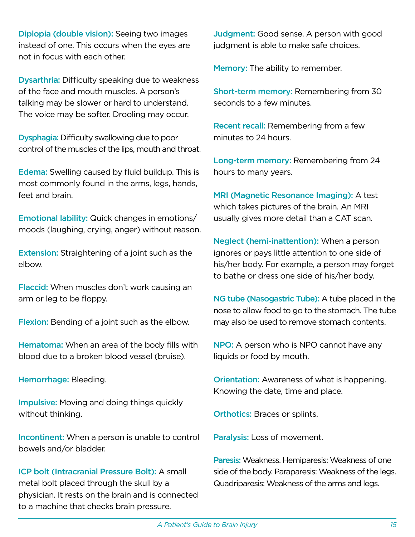Diplopia (double vision): Seeing two images instead of one. This occurs when the eyes are not in focus with each other.

Dysarthria: Difficulty speaking due to weakness of the face and mouth muscles. A person's talking may be slower or hard to understand. The voice may be softer. Drooling may occur.

Dysphagia: Difficulty swallowing due to poor control of the muscles of the lips, mouth and throat.

Edema: Swelling caused by fluid buildup. This is most commonly found in the arms, legs, hands, feet and brain.

Emotional lability: Quick changes in emotions/ moods (laughing, crying, anger) without reason.

**Extension:** Straightening of a joint such as the elbow.

Flaccid: When muscles don't work causing an arm or leg to be floppy.

Flexion: Bending of a joint such as the elbow.

Hematoma: When an area of the body fills with blood due to a broken blood vessel (bruise).

Hemorrhage: Bleeding.

Impulsive: Moving and doing things quickly without thinking.

Incontinent: When a person is unable to control bowels and/or bladder.

ICP bolt (Intracranial Pressure Bolt): A small metal bolt placed through the skull by a physician. It rests on the brain and is connected to a machine that checks brain pressure.

Judgment: Good sense. A person with good judgment is able to make safe choices.

Memory: The ability to remember.

Short-term memory: Remembering from 30 seconds to a few minutes.

Recent recall: Remembering from a few minutes to 24 hours.

Long-term memory: Remembering from 24 hours to many years.

MRI (Magnetic Resonance Imaging): A test which takes pictures of the brain. An MRI usually gives more detail than a CAT scan.

Neglect (hemi-inattention): When a person ignores or pays little attention to one side of his/her body. For example, a person may forget to bathe or dress one side of his/her body.

NG tube (Nasogastric Tube): A tube placed in the nose to allow food to go to the stomach. The tube may also be used to remove stomach contents.

NPO: A person who is NPO cannot have any liquids or food by mouth.

**Orientation:** Awareness of what is happening. Knowing the date, time and place.

Orthotics: Braces or splints.

Paralysis: Loss of movement.

Paresis: Weakness. Hemiparesis: Weakness of one side of the body. Paraparesis: Weakness of the legs. Quadriparesis: Weakness of the arms and legs.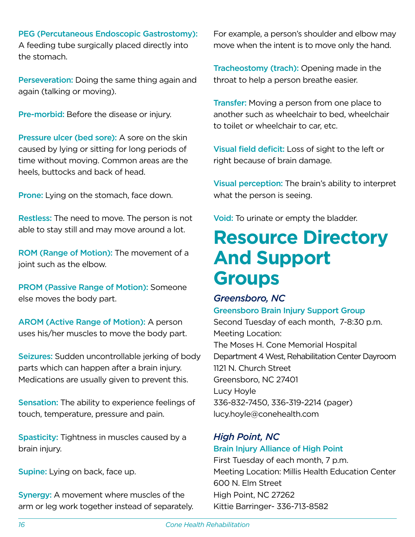PEG (Percutaneous Endoscopic Gastrostomy): A feeding tube surgically placed directly into the stomach.

**Perseveration:** Doing the same thing again and again (talking or moving).

Pre-morbid: Before the disease or injury.

Pressure ulcer (bed sore): A sore on the skin caused by lying or sitting for long periods of time without moving. Common areas are the heels, buttocks and back of head.

Prone: Lying on the stomach, face down.

Restless: The need to move. The person is not able to stay still and may move around a lot.

ROM (Range of Motion): The movement of a joint such as the elbow.

PROM (Passive Range of Motion): Someone else moves the body part.

AROM (Active Range of Motion): A person uses his/her muscles to move the body part.

Seizures: Sudden uncontrollable jerking of body parts which can happen after a brain injury. Medications are usually given to prevent this.

Sensation: The ability to experience feelings of touch, temperature, pressure and pain.

Spasticity: Tightness in muscles caused by a brain injury.

Supine: Lying on back, face up.

Synergy: A movement where muscles of the arm or leg work together instead of separately. For example, a person's shoulder and elbow may move when the intent is to move only the hand.

Tracheostomy (trach): Opening made in the throat to help a person breathe easier.

**Transfer:** Moving a person from one place to another such as wheelchair to bed, wheelchair to toilet or wheelchair to car, etc.

Visual field deficit: Loss of sight to the left or right because of brain damage.

Visual perception: The brain's ability to interpret what the person is seeing.

Void: To urinate or empty the bladder.

## **Resource Directory And Support Groups**

#### *Greensboro, NC*

#### Greensboro Brain Injury Support Group

Second Tuesday of each month, 7-8:30 p.m. Meeting Location: The Moses H. Cone Memorial Hospital Department 4 West, Rehabilitation Center Dayroom 1121 N. Church Street Greensboro, NC 27401 Lucy Hoyle 336-832-7450, 336-319-2214 (pager) lucy.hoyle@conehealth.com

#### *High Point, NC* Brain Injury Alliance of High Point

First Tuesday of each month, 7 p.m. Meeting Location: Millis Health Education Center 600 N. Elm Street High Point, NC 27262 Kittie Barringer- 336-713-8582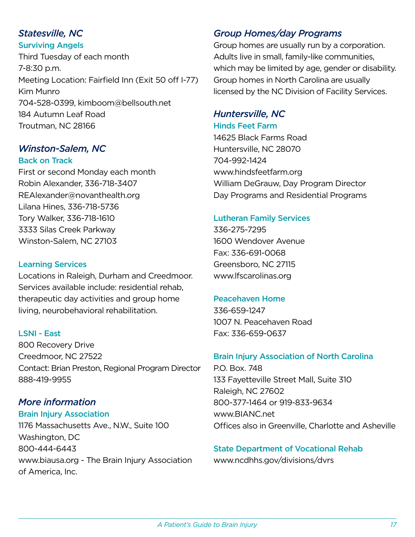### *Statesville, NC*

#### Surviving Angels

Third Tuesday of each month 7-8:30 p.m. Meeting Location: Fairfield Inn (Exit 50 off I-77) Kim Munro 704-528-0399, kimboom@bellsouth.net 184 Autumn Leaf Road Troutman, NC 28166

#### *Winston-Salem, NC* Back on Track

First or second Monday each month Robin Alexander, 336-718-3407 REAlexander@novanthealth.org Lilana Hines, 336-718-5736 Tory Walker, 336-718-1610 3333 Silas Creek Parkway Winston-Salem, NC 27103

#### Learning Services

Locations in Raleigh, Durham and Creedmoor. Services available include: residential rehab, therapeutic day activities and group home living, neurobehavioral rehabilitation.

#### LSNI - East

800 Recovery Drive Creedmoor, NC 27522 Contact: Brian Preston, Regional Program Director 888-419-9955

### *More information*

#### Brain Injury Association

1176 Massachusetts Ave., N.W., Suite 100 Washington, DC 800-444-6443 www.biausa.org - The Brain Injury Association of America, Inc.

### *Group Homes/day Programs*

Group homes are usually run by a corporation. Adults live in small, family-like communities, which may be limited by age, gender or disability. Group homes in North Carolina are usually licensed by the NC Division of Facility Services.

#### *Huntersville, NC*  Hinds Feet Farm

14625 Black Farms Road Huntersville, NC 28070 704-992-1424 www.hindsfeetfarm.org William DeGrauw, Day Program Director Day Programs and Residential Programs

#### Lutheran Family Services

336-275-7295 1600 Wendover Avenue Fax: 336-691-0068 Greensboro, NC 27115 www.lfscarolinas.org

#### Peacehaven Home

336-659-1247 1007 N. Peacehaven Road Fax: 336-659-0637

#### Brain Injury Association of North Carolina

P.O. Box. 748 133 Fayetteville Street Mall, Suite 310 Raleigh, NC 27602 800-377-1464 or 919-833-9634 www.BIANC.net Offices also in Greenville, Charlotte and Asheville

#### State Department of Vocational Rehab www.ncdhhs.gov/divisions/dvrs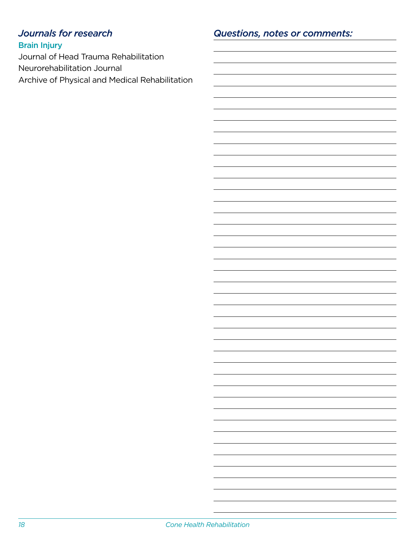#### *Journals for research*

#### Brain Injury

Journal of Head Trauma Rehabilitation Neurorehabilitation Journal Archive of Physical and Medical Rehabilitation *Questions, notes or comments:*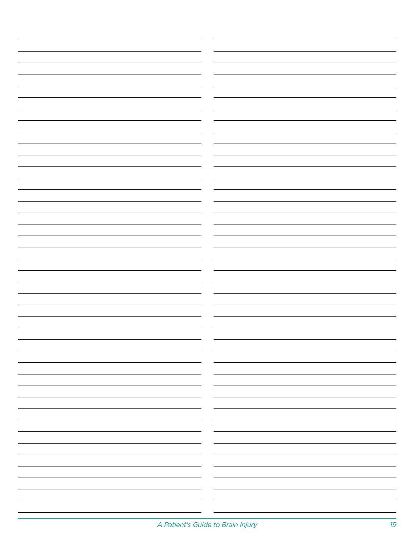|         | $\overline{\phantom{0}}$ |
|---------|--------------------------|
|         |                          |
| ——————— |                          |
|         | $\sim$                   |
|         |                          |
|         |                          |
|         | $\overline{\phantom{a}}$ |
|         |                          |
|         |                          |
|         | $\sim$                   |
|         |                          |
|         |                          |
|         |                          |
|         |                          |
|         |                          |
|         |                          |
|         |                          |
| ______  | –                        |
|         |                          |
|         |                          |